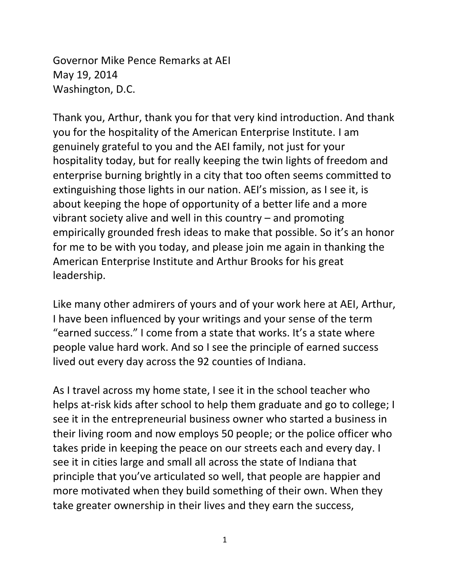Governor Mike Pence Remarks at AEI May 19, 2014 Washington, D.C.

Thank you, Arthur, thank you for that very kind introduction. And thank you for the hospitality of the American Enterprise Institute. I am genuinely grateful to you and the AEI family, not just for your hospitality today, but for really keeping the twin lights of freedom and enterprise burning brightly in a city that too often seems committed to extinguishing those lights in our nation. AEI's mission, as I see it, is about keeping the hope of opportunity of a better life and a more vibrant society alive and well in this country – and promoting empirically grounded fresh ideas to make that possible. So it's an honor for me to be with you today, and please join me again in thanking the American Enterprise Institute and Arthur Brooks for his great leadership.

Like many other admirers of yours and of your work here at AEI, Arthur, I have been influenced by your writings and your sense of the term "earned success." I come from a state that works. It's a state where people value hard work. And so I see the principle of earned success lived out every day across the 92 counties of Indiana.

As I travel across my home state, I see it in the school teacher who helps at-risk kids after school to help them graduate and go to college; I see it in the entrepreneurial business owner who started a business in their living room and now employs 50 people; or the police officer who takes pride in keeping the peace on our streets each and every day. I see it in cities large and small all across the state of Indiana that principle that you've articulated so well, that people are happier and more motivated when they build something of their own. When they take greater ownership in their lives and they earn the success,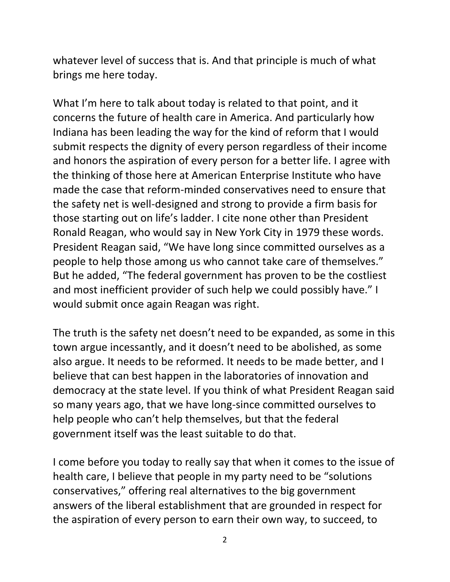whatever level of success that is. And that principle is much of what brings me here today.

What I'm here to talk about today is related to that point, and it concerns the future of health care in America. And particularly how Indiana has been leading the way for the kind of reform that I would submit respects the dignity of every person regardless of their income and honors the aspiration of every person for a better life. I agree with the thinking of those here at American Enterprise Institute who have made the case that reform-minded conservatives need to ensure that the safety net is well-designed and strong to provide a firm basis for those starting out on life's ladder. I cite none other than President Ronald Reagan, who would say in New York City in 1979 these words. President Reagan said, "We have long since committed ourselves as a people to help those among us who cannot take care of themselves." But he added, "The federal government has proven to be the costliest and most inefficient provider of such help we could possibly have." I would submit once again Reagan was right.

The truth is the safety net doesn't need to be expanded, as some in this town argue incessantly, and it doesn't need to be abolished, as some also argue. It needs to be reformed. It needs to be made better, and I believe that can best happen in the laboratories of innovation and democracy at the state level. If you think of what President Reagan said so many years ago, that we have long-since committed ourselves to help people who can't help themselves, but that the federal government itself was the least suitable to do that.

I come before you today to really say that when it comes to the issue of health care, I believe that people in my party need to be "solutions conservatives," offering real alternatives to the big government answers of the liberal establishment that are grounded in respect for the aspiration of every person to earn their own way, to succeed, to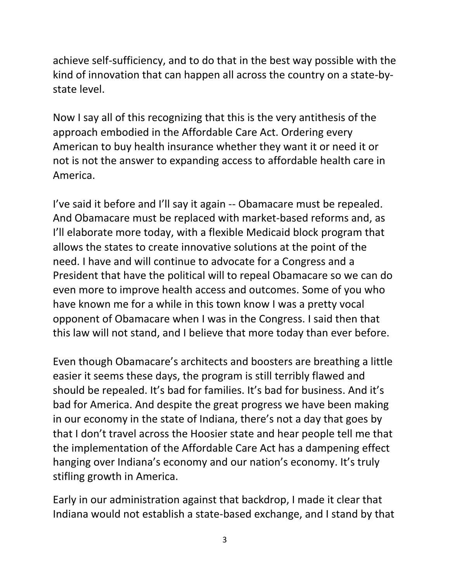achieve self-sufficiency, and to do that in the best way possible with the kind of innovation that can happen all across the country on a state-bystate level.

Now I say all of this recognizing that this is the very antithesis of the approach embodied in the Affordable Care Act. Ordering every American to buy health insurance whether they want it or need it or not is not the answer to expanding access to affordable health care in America.

I've said it before and I'll say it again -- Obamacare must be repealed. And Obamacare must be replaced with market-based reforms and, as I'll elaborate more today, with a flexible Medicaid block program that allows the states to create innovative solutions at the point of the need. I have and will continue to advocate for a Congress and a President that have the political will to repeal Obamacare so we can do even more to improve health access and outcomes. Some of you who have known me for a while in this town know I was a pretty vocal opponent of Obamacare when I was in the Congress. I said then that this law will not stand, and I believe that more today than ever before.

Even though Obamacare's architects and boosters are breathing a little easier it seems these days, the program is still terribly flawed and should be repealed. It's bad for families. It's bad for business. And it's bad for America. And despite the great progress we have been making in our economy in the state of Indiana, there's not a day that goes by that I don't travel across the Hoosier state and hear people tell me that the implementation of the Affordable Care Act has a dampening effect hanging over Indiana's economy and our nation's economy. It's truly stifling growth in America.

Early in our administration against that backdrop, I made it clear that Indiana would not establish a state-based exchange, and I stand by that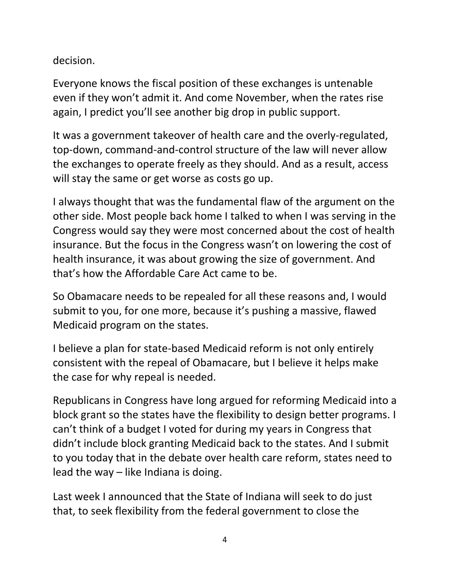decision.

Everyone knows the fiscal position of these exchanges is untenable even if they won't admit it. And come November, when the rates rise again, I predict you'll see another big drop in public support.

It was a government takeover of health care and the overly-regulated, top-down, command-and-control structure of the law will never allow the exchanges to operate freely as they should. And as a result, access will stay the same or get worse as costs go up.

I always thought that was the fundamental flaw of the argument on the other side. Most people back home I talked to when I was serving in the Congress would say they were most concerned about the cost of health insurance. But the focus in the Congress wasn't on lowering the cost of health insurance, it was about growing the size of government. And that's how the Affordable Care Act came to be.

So Obamacare needs to be repealed for all these reasons and, I would submit to you, for one more, because it's pushing a massive, flawed Medicaid program on the states.

I believe a plan for state-based Medicaid reform is not only entirely consistent with the repeal of Obamacare, but I believe it helps make the case for why repeal is needed.

Republicans in Congress have long argued for reforming Medicaid into a block grant so the states have the flexibility to design better programs. I can't think of a budget I voted for during my years in Congress that didn't include block granting Medicaid back to the states. And I submit to you today that in the debate over health care reform, states need to lead the way – like Indiana is doing.

Last week I announced that the State of Indiana will seek to do just that, to seek flexibility from the federal government to close the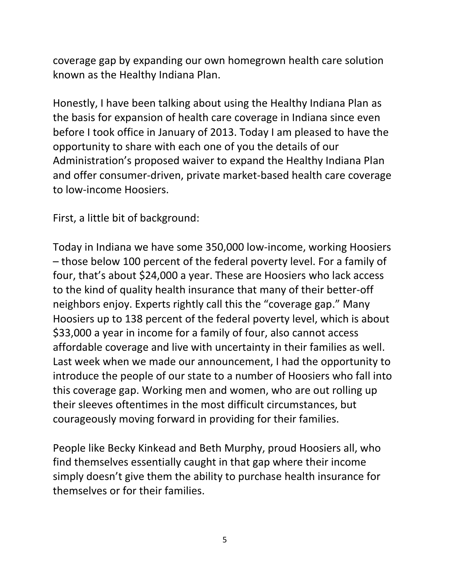coverage gap by expanding our own homegrown health care solution known as the Healthy Indiana Plan.

Honestly, I have been talking about using the Healthy Indiana Plan as the basis for expansion of health care coverage in Indiana since even before I took office in January of 2013. Today I am pleased to have the opportunity to share with each one of you the details of our Administration's proposed waiver to expand the Healthy Indiana Plan and offer consumer-driven, private market-based health care coverage to low-income Hoosiers.

First, a little bit of background:

Today in Indiana we have some 350,000 low-income, working Hoosiers – those below 100 percent of the federal poverty level. For a family of four, that's about \$24,000 a year. These are Hoosiers who lack access to the kind of quality health insurance that many of their better-off neighbors enjoy. Experts rightly call this the "coverage gap." Many Hoosiers up to 138 percent of the federal poverty level, which is about \$33,000 a year in income for a family of four, also cannot access affordable coverage and live with uncertainty in their families as well. Last week when we made our announcement, I had the opportunity to introduce the people of our state to a number of Hoosiers who fall into this coverage gap. Working men and women, who are out rolling up their sleeves oftentimes in the most difficult circumstances, but courageously moving forward in providing for their families.

People like Becky Kinkead and Beth Murphy, proud Hoosiers all, who find themselves essentially caught in that gap where their income simply doesn't give them the ability to purchase health insurance for themselves or for their families.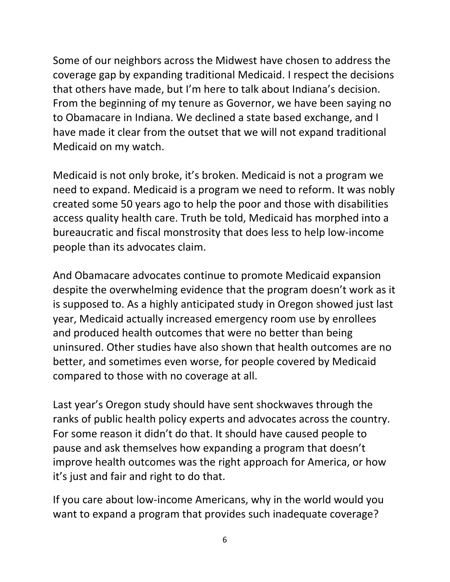Some of our neighbors across the Midwest have chosen to address the coverage gap by expanding traditional Medicaid. I respect the decisions that others have made, but I'm here to talk about Indiana's decision. From the beginning of my tenure as Governor, we have been saying no to Obamacare in Indiana. We declined a state based exchange, and I have made it clear from the outset that we will not expand traditional Medicaid on my watch.

Medicaid is not only broke, it's broken. Medicaid is not a program we need to expand. Medicaid is a program we need to reform. It was nobly created some 50 years ago to help the poor and those with disabilities access quality health care. Truth be told, Medicaid has morphed into a bureaucratic and fiscal monstrosity that does less to help low-income people than its advocates claim.

And Obamacare advocates continue to promote Medicaid expansion despite the overwhelming evidence that the program doesn't work as it is supposed to. As a highly anticipated study in Oregon showed just last year, Medicaid actually increased emergency room use by enrollees and produced health outcomes that were no better than being uninsured. Other studies have also shown that health outcomes are no better, and sometimes even worse, for people covered by Medicaid compared to those with no coverage at all.

Last year's Oregon study should have sent shockwaves through the ranks of public health policy experts and advocates across the country. For some reason it didn't do that. It should have caused people to pause and ask themselves how expanding a program that doesn't improve health outcomes was the right approach for America, or how it's just and fair and right to do that.

If you care about low-income Americans, why in the world would you want to expand a program that provides such inadequate coverage?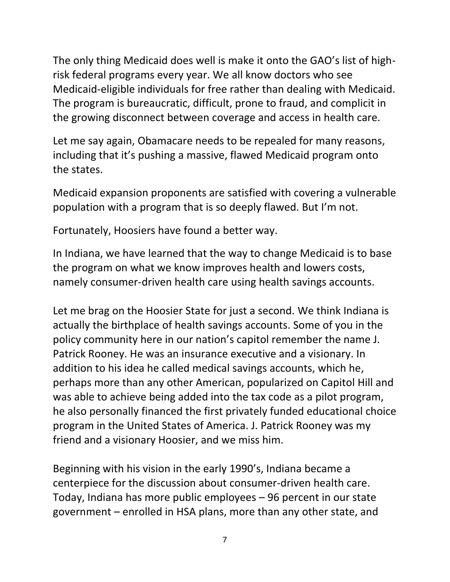The only thing Medicaid does well is make it onto the GAO's list of highrisk federal programs every year. We all know doctors who see Medicaid-eligible individuals for free rather than dealing with Medicaid. The program is bureaucratic, difficult, prone to fraud, and complicit in the growing disconnect between coverage and access in health care.

Let me say again, Obamacare needs to be repealed for many reasons, including that it's pushing a massive, flawed Medicaid program onto the states.

Medicaid expansion proponents are satisfied with covering a vulnerable population with a program that is so deeply flawed. But I'm not.

Fortunately, Hoosiers have found a better way.

In Indiana, we have learned that the way to change Medicaid is to base the program on what we know improves health and lowers costs, namely consumer-driven health care using health savings accounts.

Let me brag on the Hoosier State for just a second. We think Indiana is actually the birthplace of health savings accounts. Some of you in the policy community here in our nation's capitol remember the name J. Patrick Rooney. He was an insurance executive and a visionary. In addition to his idea he called medical savings accounts, which he, perhaps more than any other American, popularized on Capitol Hill and was able to achieve being added into the tax code as a pilot program, he also personally financed the first privately funded educational choice program in the United States of America. J. Patrick Rooney was my friend and a visionary Hoosier, and we miss him.

Beginning with his vision in the early 1990's, Indiana became a centerpiece for the discussion about consumer-driven health care. Today, Indiana has more public employees – 96 percent in our state government – enrolled in HSA plans, more than any other state, and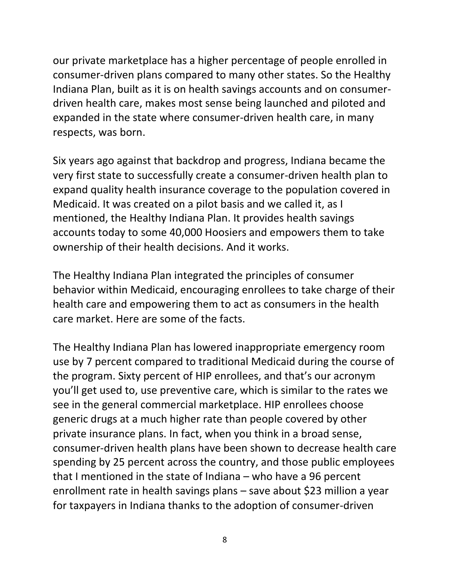our private marketplace has a higher percentage of people enrolled in consumer-driven plans compared to many other states. So the Healthy Indiana Plan, built as it is on health savings accounts and on consumerdriven health care, makes most sense being launched and piloted and expanded in the state where consumer-driven health care, in many respects, was born.

Six years ago against that backdrop and progress, Indiana became the very first state to successfully create a consumer-driven health plan to expand quality health insurance coverage to the population covered in Medicaid. It was created on a pilot basis and we called it, as I mentioned, the Healthy Indiana Plan. It provides health savings accounts today to some 40,000 Hoosiers and empowers them to take ownership of their health decisions. And it works.

The Healthy Indiana Plan integrated the principles of consumer behavior within Medicaid, encouraging enrollees to take charge of their health care and empowering them to act as consumers in the health care market. Here are some of the facts.

The Healthy Indiana Plan has lowered inappropriate emergency room use by 7 percent compared to traditional Medicaid during the course of the program. Sixty percent of HIP enrollees, and that's our acronym you'll get used to, use preventive care, which is similar to the rates we see in the general commercial marketplace. HIP enrollees choose generic drugs at a much higher rate than people covered by other private insurance plans. In fact, when you think in a broad sense, consumer-driven health plans have been shown to decrease health care spending by 25 percent across the country, and those public employees that I mentioned in the state of Indiana – who have a 96 percent enrollment rate in health savings plans – save about \$23 million a year for taxpayers in Indiana thanks to the adoption of consumer-driven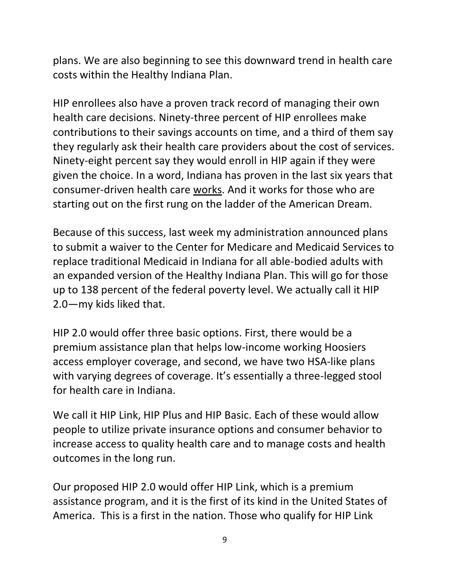plans. We are also beginning to see this downward trend in health care costs within the Healthy Indiana Plan.

HIP enrollees also have a proven track record of managing their own health care decisions. Ninety-three percent of HIP enrollees make contributions to their savings accounts on time, and a third of them say they regularly ask their health care providers about the cost of services. Ninety-eight percent say they would enroll in HIP again if they were given the choice. In a word, Indiana has proven in the last six years that consumer-driven health care works. And it works for those who are starting out on the first rung on the ladder of the American Dream.

Because of this success, last week my administration announced plans to submit a waiver to the Center for Medicare and Medicaid Services to replace traditional Medicaid in Indiana for all able-bodied adults with an expanded version of the Healthy Indiana Plan. This will go for those up to 138 percent of the federal poverty level. We actually call it HIP 2.0—my kids liked that.

HIP 2.0 would offer three basic options. First, there would be a premium assistance plan that helps low-income working Hoosiers access employer coverage, and second, we have two HSA-like plans with varying degrees of coverage. It's essentially a three-legged stool for health care in Indiana.

We call it HIP Link, HIP Plus and HIP Basic. Each of these would allow people to utilize private insurance options and consumer behavior to increase access to quality health care and to manage costs and health outcomes in the long run.

Our proposed HIP 2.0 would offer HIP Link, which is a premium assistance program, and it is the first of its kind in the United States of America. This is a first in the nation. Those who qualify for HIP Link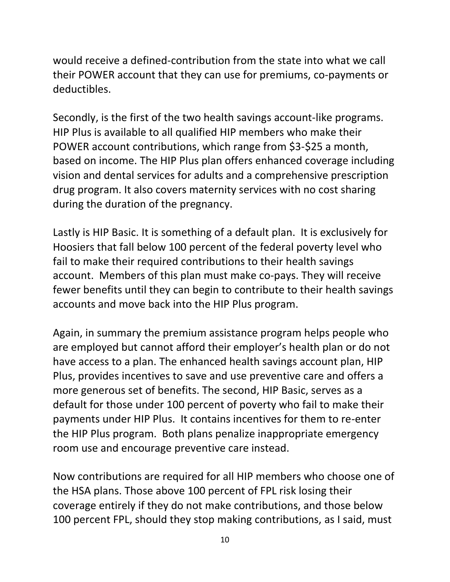would receive a defined-contribution from the state into what we call their POWER account that they can use for premiums, co-payments or deductibles.

Secondly, is the first of the two health savings account-like programs. HIP Plus is available to all qualified HIP members who make their POWER account contributions, which range from \$3-\$25 a month, based on income. The HIP Plus plan offers enhanced coverage including vision and dental services for adults and a comprehensive prescription drug program. It also covers maternity services with no cost sharing during the duration of the pregnancy.

Lastly is HIP Basic. It is something of a default plan. It is exclusively for Hoosiers that fall below 100 percent of the federal poverty level who fail to make their required contributions to their health savings account. Members of this plan must make co-pays. They will receive fewer benefits until they can begin to contribute to their health savings accounts and move back into the HIP Plus program.

Again, in summary the premium assistance program helps people who are employed but cannot afford their employer's health plan or do not have access to a plan. The enhanced health savings account plan, HIP Plus, provides incentives to save and use preventive care and offers a more generous set of benefits. The second, HIP Basic, serves as a default for those under 100 percent of poverty who fail to make their payments under HIP Plus. It contains incentives for them to re-enter the HIP Plus program. Both plans penalize inappropriate emergency room use and encourage preventive care instead.

Now contributions are required for all HIP members who choose one of the HSA plans. Those above 100 percent of FPL risk losing their coverage entirely if they do not make contributions, and those below 100 percent FPL, should they stop making contributions, as I said, must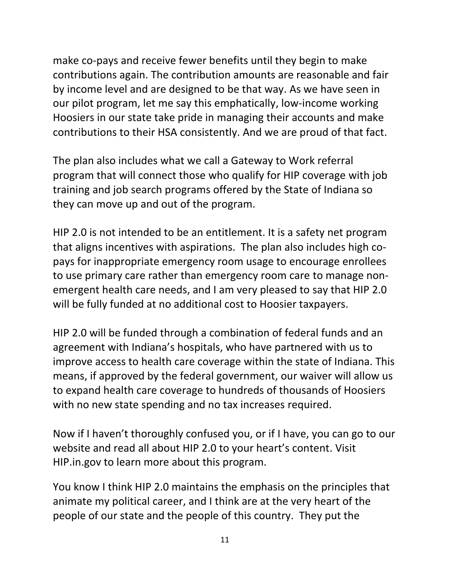make co-pays and receive fewer benefits until they begin to make contributions again. The contribution amounts are reasonable and fair by income level and are designed to be that way. As we have seen in our pilot program, let me say this emphatically, low-income working Hoosiers in our state take pride in managing their accounts and make contributions to their HSA consistently. And we are proud of that fact.

The plan also includes what we call a Gateway to Work referral program that will connect those who qualify for HIP coverage with job training and job search programs offered by the State of Indiana so they can move up and out of the program.

HIP 2.0 is not intended to be an entitlement. It is a safety net program that aligns incentives with aspirations. The plan also includes high copays for inappropriate emergency room usage to encourage enrollees to use primary care rather than emergency room care to manage nonemergent health care needs, and I am very pleased to say that HIP 2.0 will be fully funded at no additional cost to Hoosier taxpayers.

HIP 2.0 will be funded through a combination of federal funds and an agreement with Indiana's hospitals, who have partnered with us to improve access to health care coverage within the state of Indiana. This means, if approved by the federal government, our waiver will allow us to expand health care coverage to hundreds of thousands of Hoosiers with no new state spending and no tax increases required.

Now if I haven't thoroughly confused you, or if I have, you can go to our website and read all about HIP 2.0 to your heart's content. Visit HIP.in.gov to learn more about this program.

You know I think HIP 2.0 maintains the emphasis on the principles that animate my political career, and I think are at the very heart of the people of our state and the people of this country. They put the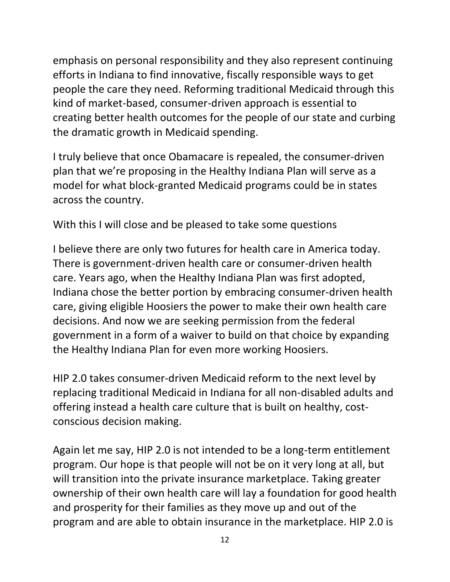emphasis on personal responsibility and they also represent continuing efforts in Indiana to find innovative, fiscally responsible ways to get people the care they need. Reforming traditional Medicaid through this kind of market-based, consumer-driven approach is essential to creating better health outcomes for the people of our state and curbing the dramatic growth in Medicaid spending.

I truly believe that once Obamacare is repealed, the consumer-driven plan that we're proposing in the Healthy Indiana Plan will serve as a model for what block-granted Medicaid programs could be in states across the country.

With this I will close and be pleased to take some questions

I believe there are only two futures for health care in America today. There is government-driven health care or consumer-driven health care. Years ago, when the Healthy Indiana Plan was first adopted, Indiana chose the better portion by embracing consumer-driven health care, giving eligible Hoosiers the power to make their own health care decisions. And now we are seeking permission from the federal government in a form of a waiver to build on that choice by expanding the Healthy Indiana Plan for even more working Hoosiers.

HIP 2.0 takes consumer-driven Medicaid reform to the next level by replacing traditional Medicaid in Indiana for all non-disabled adults and offering instead a health care culture that is built on healthy, costconscious decision making.

Again let me say, HIP 2.0 is not intended to be a long-term entitlement program. Our hope is that people will not be on it very long at all, but will transition into the private insurance marketplace. Taking greater ownership of their own health care will lay a foundation for good health and prosperity for their families as they move up and out of the program and are able to obtain insurance in the marketplace. HIP 2.0 is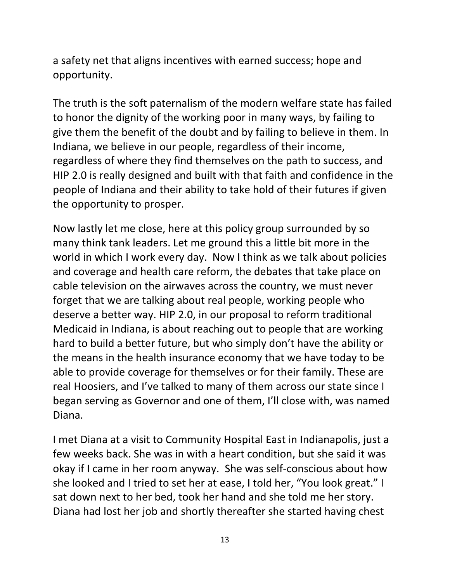a safety net that aligns incentives with earned success; hope and opportunity.

The truth is the soft paternalism of the modern welfare state has failed to honor the dignity of the working poor in many ways, by failing to give them the benefit of the doubt and by failing to believe in them. In Indiana, we believe in our people, regardless of their income, regardless of where they find themselves on the path to success, and HIP 2.0 is really designed and built with that faith and confidence in the people of Indiana and their ability to take hold of their futures if given the opportunity to prosper.

Now lastly let me close, here at this policy group surrounded by so many think tank leaders. Let me ground this a little bit more in the world in which I work every day. Now I think as we talk about policies and coverage and health care reform, the debates that take place on cable television on the airwaves across the country, we must never forget that we are talking about real people, working people who deserve a better way. HIP 2.0, in our proposal to reform traditional Medicaid in Indiana, is about reaching out to people that are working hard to build a better future, but who simply don't have the ability or the means in the health insurance economy that we have today to be able to provide coverage for themselves or for their family. These are real Hoosiers, and I've talked to many of them across our state since I began serving as Governor and one of them, I'll close with, was named Diana.

I met Diana at a visit to Community Hospital East in Indianapolis, just a few weeks back. She was in with a heart condition, but she said it was okay if I came in her room anyway. She was self-conscious about how she looked and I tried to set her at ease, I told her, "You look great." I sat down next to her bed, took her hand and she told me her story. Diana had lost her job and shortly thereafter she started having chest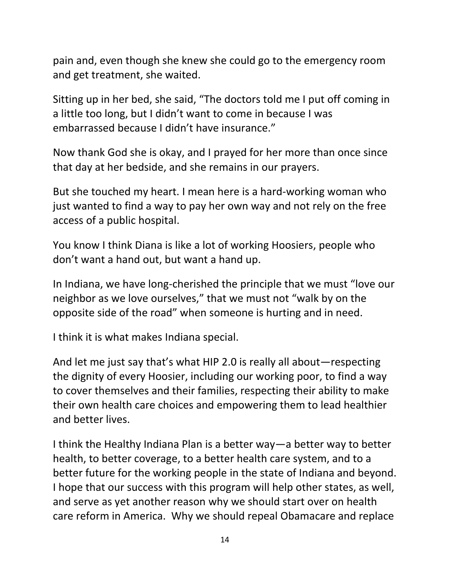pain and, even though she knew she could go to the emergency room and get treatment, she waited.

Sitting up in her bed, she said, "The doctors told me I put off coming in a little too long, but I didn't want to come in because I was embarrassed because I didn't have insurance."

Now thank God she is okay, and I prayed for her more than once since that day at her bedside, and she remains in our prayers.

But she touched my heart. I mean here is a hard-working woman who just wanted to find a way to pay her own way and not rely on the free access of a public hospital.

You know I think Diana is like a lot of working Hoosiers, people who don't want a hand out, but want a hand up.

In Indiana, we have long-cherished the principle that we must "love our neighbor as we love ourselves," that we must not "walk by on the opposite side of the road" when someone is hurting and in need.

I think it is what makes Indiana special.

And let me just say that's what HIP 2.0 is really all about—respecting the dignity of every Hoosier, including our working poor, to find a way to cover themselves and their families, respecting their ability to make their own health care choices and empowering them to lead healthier and better lives.

I think the Healthy Indiana Plan is a better way—a better way to better health, to better coverage, to a better health care system, and to a better future for the working people in the state of Indiana and beyond. I hope that our success with this program will help other states, as well, and serve as yet another reason why we should start over on health care reform in America. Why we should repeal Obamacare and replace